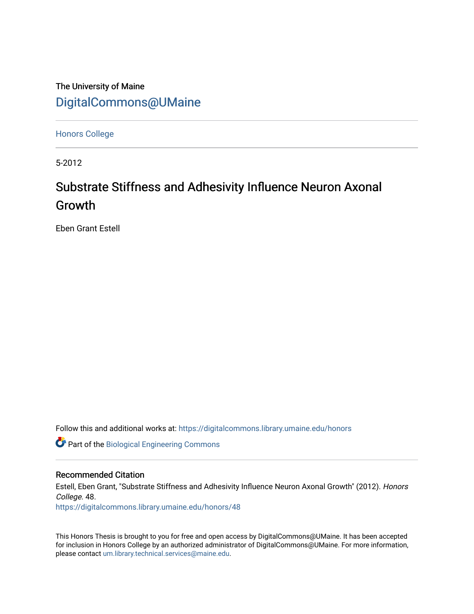The University of Maine [DigitalCommons@UMaine](https://digitalcommons.library.umaine.edu/)

[Honors College](https://digitalcommons.library.umaine.edu/honors)

5-2012

# Substrate Stiffness and Adhesivity Influence Neuron Axonal Growth

Eben Grant Estell

Follow this and additional works at: [https://digitalcommons.library.umaine.edu/honors](https://digitalcommons.library.umaine.edu/honors?utm_source=digitalcommons.library.umaine.edu%2Fhonors%2F48&utm_medium=PDF&utm_campaign=PDFCoverPages) 

**C** Part of the [Biological Engineering Commons](http://network.bepress.com/hgg/discipline/230?utm_source=digitalcommons.library.umaine.edu%2Fhonors%2F48&utm_medium=PDF&utm_campaign=PDFCoverPages)

#### Recommended Citation

Estell, Eben Grant, "Substrate Stiffness and Adhesivity Influence Neuron Axonal Growth" (2012). Honors College. 48.

[https://digitalcommons.library.umaine.edu/honors/48](https://digitalcommons.library.umaine.edu/honors/48?utm_source=digitalcommons.library.umaine.edu%2Fhonors%2F48&utm_medium=PDF&utm_campaign=PDFCoverPages) 

This Honors Thesis is brought to you for free and open access by DigitalCommons@UMaine. It has been accepted for inclusion in Honors College by an authorized administrator of DigitalCommons@UMaine. For more information, please contact [um.library.technical.services@maine.edu.](mailto:um.library.technical.services@maine.edu)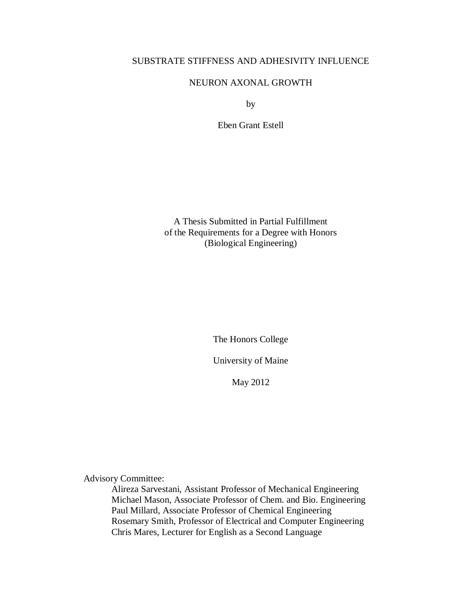## SUBSTRATE STIFFNESS AND ADHESIVITY INFLUENCE

## NEURON AXONAL GROWTH

by

Eben Grant Estell

A Thesis Submitted in Partial Fulfillment of the Requirements for a Degree with Honors (Biological Engineering)

The Honors College

University of Maine

May 2012

Advisory Committee:

Alireza Sarvestani, Assistant Professor of Mechanical Engineering Michael Mason, Associate Professor of Chem. and Bio. Engineering Paul Millard, Associate Professor of Chemical Engineering Rosemary Smith, Professor of Electrical and Computer Engineering Chris Mares, Lecturer for English as a Second Language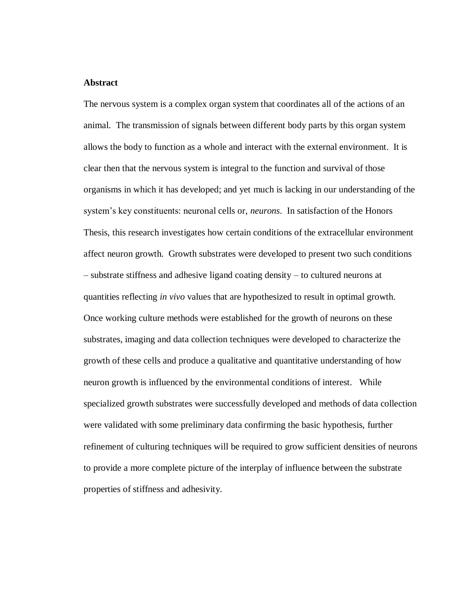#### **Abstract**

The nervous system is a complex organ system that coordinates all of the actions of an animal. The transmission of signals between different body parts by this organ system allows the body to function as a whole and interact with the external environment. It is clear then that the nervous system is integral to the function and survival of those organisms in which it has developed; and yet much is lacking in our understanding of the system's key constituents: neuronal cells or, *neurons*. In satisfaction of the Honors Thesis, this research investigates how certain conditions of the extracellular environment affect neuron growth. Growth substrates were developed to present two such conditions – substrate stiffness and adhesive ligand coating density – to cultured neurons at quantities reflecting *in vivo* values that are hypothesized to result in optimal growth. Once working culture methods were established for the growth of neurons on these substrates, imaging and data collection techniques were developed to characterize the growth of these cells and produce a qualitative and quantitative understanding of how neuron growth is influenced by the environmental conditions of interest. While specialized growth substrates were successfully developed and methods of data collection were validated with some preliminary data confirming the basic hypothesis, further refinement of culturing techniques will be required to grow sufficient densities of neurons to provide a more complete picture of the interplay of influence between the substrate properties of stiffness and adhesivity.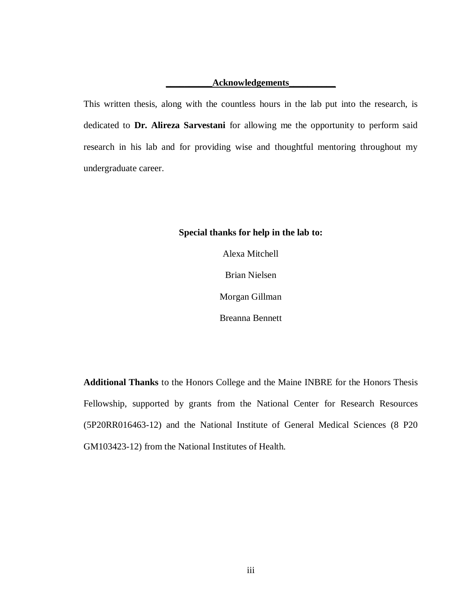#### **\_\_\_\_\_\_\_\_\_\_Acknowledgements\_\_\_\_\_\_\_\_\_\_**

This written thesis, along with the countless hours in the lab put into the research, is dedicated to **Dr. Alireza Sarvestani** for allowing me the opportunity to perform said research in his lab and for providing wise and thoughtful mentoring throughout my undergraduate career.

## **Special thanks for help in the lab to:**

Alexa Mitchell Brian Nielsen Morgan Gillman Breanna Bennett

**Additional Thanks** to the Honors College and the Maine INBRE for the Honors Thesis Fellowship, supported by grants from the National Center for Research Resources (5P20RR016463-12) and the National Institute of General Medical Sciences (8 P20 GM103423-12) from the National Institutes of Health.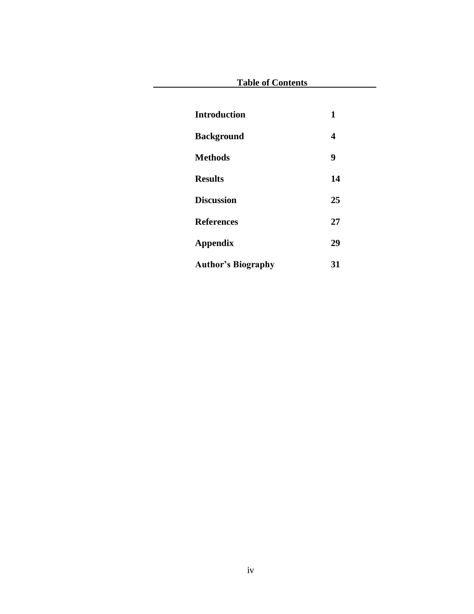| <b>Table of Contents</b>  |    |
|---------------------------|----|
|                           |    |
| <b>Introduction</b>       | 1  |
| <b>Background</b>         | 4  |
| <b>Methods</b>            | 9  |
| <b>Results</b>            | 14 |
| <b>Discussion</b>         | 25 |
| <b>References</b>         | 27 |
| Appendix                  | 29 |
| <b>Author's Biography</b> | 31 |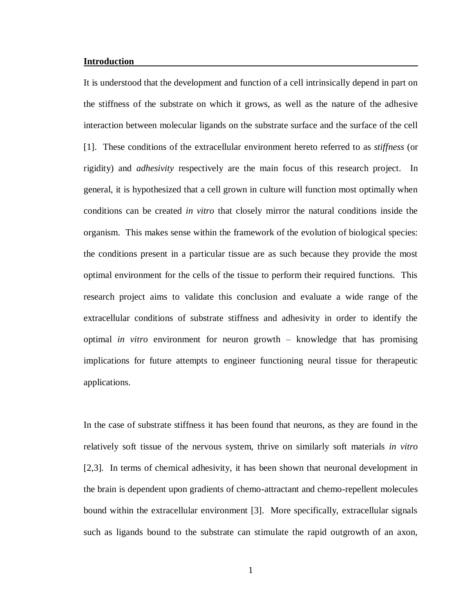#### **Introduction**

It is understood that the development and function of a cell intrinsically depend in part on the stiffness of the substrate on which it grows, as well as the nature of the adhesive interaction between molecular ligands on the substrate surface and the surface of the cell [1]. These conditions of the extracellular environment hereto referred to as *stiffness* (or rigidity) and *adhesivity* respectively are the main focus of this research project. In general, it is hypothesized that a cell grown in culture will function most optimally when conditions can be created *in vitro* that closely mirror the natural conditions inside the organism. This makes sense within the framework of the evolution of biological species: the conditions present in a particular tissue are as such because they provide the most optimal environment for the cells of the tissue to perform their required functions. This research project aims to validate this conclusion and evaluate a wide range of the extracellular conditions of substrate stiffness and adhesivity in order to identify the optimal *in vitro* environment for neuron growth – knowledge that has promising implications for future attempts to engineer functioning neural tissue for therapeutic applications.

In the case of substrate stiffness it has been found that neurons, as they are found in the relatively soft tissue of the nervous system, thrive on similarly soft materials *in vitro*  [2,3]. In terms of chemical adhesivity, it has been shown that neuronal development in the brain is dependent upon gradients of chemo-attractant and chemo-repellent molecules bound within the extracellular environment [3]. More specifically, extracellular signals such as ligands bound to the substrate can stimulate the rapid outgrowth of an axon,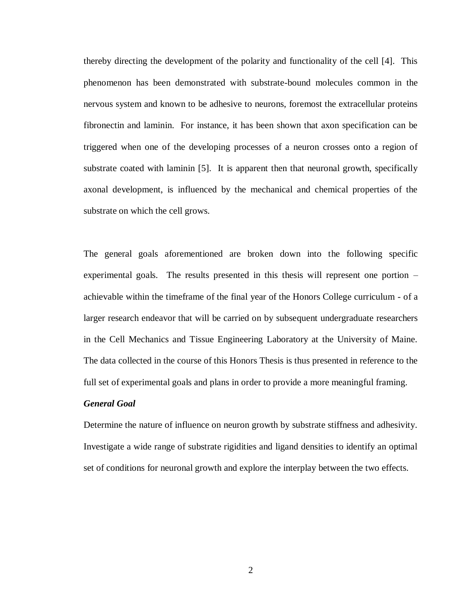thereby directing the development of the polarity and functionality of the cell [4]. This phenomenon has been demonstrated with substrate-bound molecules common in the nervous system and known to be adhesive to neurons, foremost the extracellular proteins fibronectin and laminin. For instance, it has been shown that axon specification can be triggered when one of the developing processes of a neuron crosses onto a region of substrate coated with laminin [5]. It is apparent then that neuronal growth, specifically axonal development, is influenced by the mechanical and chemical properties of the substrate on which the cell grows.

The general goals aforementioned are broken down into the following specific experimental goals. The results presented in this thesis will represent one portion – achievable within the timeframe of the final year of the Honors College curriculum - of a larger research endeavor that will be carried on by subsequent undergraduate researchers in the Cell Mechanics and Tissue Engineering Laboratory at the University of Maine. The data collected in the course of this Honors Thesis is thus presented in reference to the full set of experimental goals and plans in order to provide a more meaningful framing.

#### *General Goal*

Determine the nature of influence on neuron growth by substrate stiffness and adhesivity. Investigate a wide range of substrate rigidities and ligand densities to identify an optimal set of conditions for neuronal growth and explore the interplay between the two effects.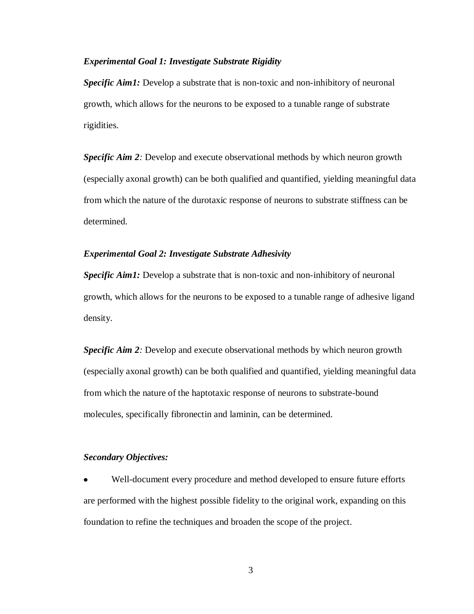## *Experimental Goal 1: Investigate Substrate Rigidity*

*Specific Aim1:* Develop a substrate that is non-toxic and non-inhibitory of neuronal growth, which allows for the neurons to be exposed to a tunable range of substrate rigidities.

**Specific Aim 2**: Develop and execute observational methods by which neuron growth (especially axonal growth) can be both qualified and quantified, yielding meaningful data from which the nature of the durotaxic response of neurons to substrate stiffness can be determined.

#### *Experimental Goal 2: Investigate Substrate Adhesivity*

*Specific Aim1:* Develop a substrate that is non-toxic and non-inhibitory of neuronal growth, which allows for the neurons to be exposed to a tunable range of adhesive ligand density.

*Specific Aim 2:* Develop and execute observational methods by which neuron growth (especially axonal growth) can be both qualified and quantified, yielding meaningful data from which the nature of the haptotaxic response of neurons to substrate-bound molecules, specifically fibronectin and laminin, can be determined.

## *Secondary Objectives:*

Well-document every procedure and method developed to ensure future efforts are performed with the highest possible fidelity to the original work, expanding on this foundation to refine the techniques and broaden the scope of the project.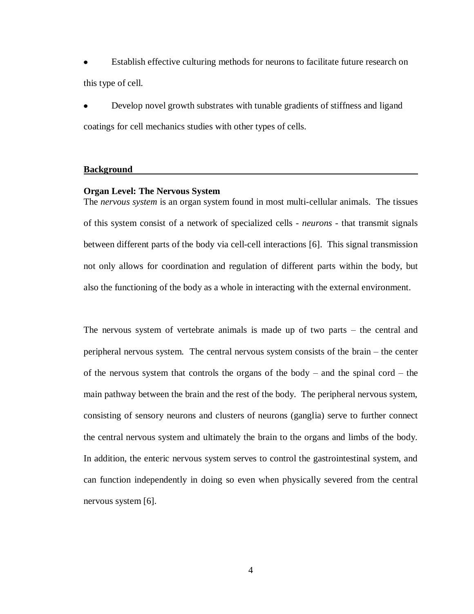Establish effective culturing methods for neurons to facilitate future research on this type of cell.

Develop novel growth substrates with tunable gradients of stiffness and ligand coatings for cell mechanics studies with other types of cells.

#### **Background**

#### **Organ Level: The Nervous System**

The *nervous system* is an organ system found in most multi-cellular animals. The tissues of this system consist of a network of specialized cells - *neurons* - that transmit signals between different parts of the body via cell-cell interactions [6]. This signal transmission not only allows for coordination and regulation of different parts within the body, but also the functioning of the body as a whole in interacting with the external environment.

The nervous system of vertebrate animals is made up of two parts – the central and peripheral nervous system. The central nervous system consists of the brain – the center of the nervous system that controls the organs of the body – and the spinal cord – the main pathway between the brain and the rest of the body. The peripheral nervous system, consisting of sensory neurons and clusters of neurons (ganglia) serve to further connect the central nervous system and ultimately the brain to the organs and limbs of the body. In addition, the enteric nervous system serves to control the gastrointestinal system, and can function independently in doing so even when physically severed from the central nervous system [6].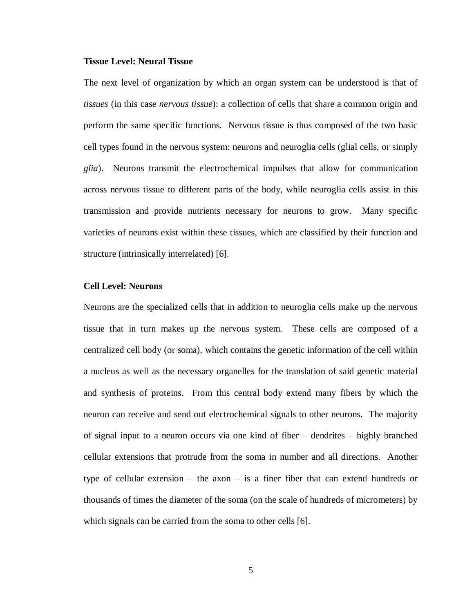#### **Tissue Level: Neural Tissue**

The next level of organization by which an organ system can be understood is that of *tissues* (in this case *nervous tissue*): a collection of cells that share a common origin and perform the same specific functions. Nervous tissue is thus composed of the two basic cell types found in the nervous system: neurons and neuroglia cells (glial cells, or simply *glia*). Neurons transmit the electrochemical impulses that allow for communication across nervous tissue to different parts of the body, while neuroglia cells assist in this transmission and provide nutrients necessary for neurons to grow. Many specific varieties of neurons exist within these tissues, which are classified by their function and structure (intrinsically interrelated) [6].

## **Cell Level: Neurons**

Neurons are the specialized cells that in addition to neuroglia cells make up the nervous tissue that in turn makes up the nervous system. These cells are composed of a centralized cell body (or soma), which contains the genetic information of the cell within a nucleus as well as the necessary organelles for the translation of said genetic material and synthesis of proteins. From this central body extend many fibers by which the neuron can receive and send out electrochemical signals to other neurons. The majority of signal input to a neuron occurs via one kind of fiber – dendrites – highly branched cellular extensions that protrude from the soma in number and all directions. Another type of cellular extension – the axon – is a finer fiber that can extend hundreds or thousands of times the diameter of the soma (on the scale of hundreds of micrometers) by which signals can be carried from the soma to other cells [6].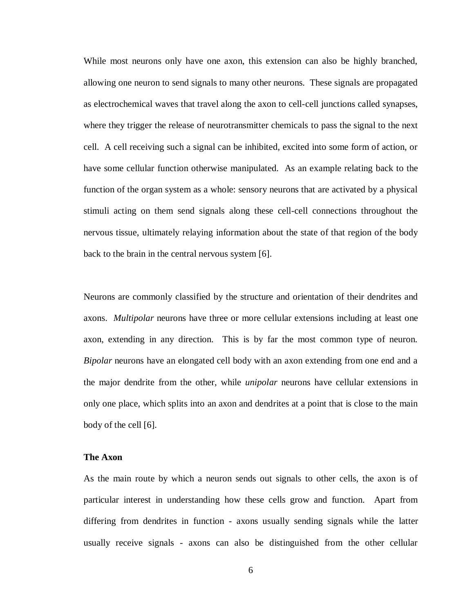While most neurons only have one axon, this extension can also be highly branched, allowing one neuron to send signals to many other neurons. These signals are propagated as electrochemical waves that travel along the axon to cell-cell junctions called synapses, where they trigger the release of neurotransmitter chemicals to pass the signal to the next cell. A cell receiving such a signal can be inhibited, excited into some form of action, or have some cellular function otherwise manipulated. As an example relating back to the function of the organ system as a whole: sensory neurons that are activated by a physical stimuli acting on them send signals along these cell-cell connections throughout the nervous tissue, ultimately relaying information about the state of that region of the body back to the brain in the central nervous system [6].

Neurons are commonly classified by the structure and orientation of their dendrites and axons. *Multipolar* neurons have three or more cellular extensions including at least one axon, extending in any direction. This is by far the most common type of neuron. *Bipolar* neurons have an elongated cell body with an axon extending from one end and a the major dendrite from the other, while *unipolar* neurons have cellular extensions in only one place, which splits into an axon and dendrites at a point that is close to the main body of the cell [6].

#### **The Axon**

As the main route by which a neuron sends out signals to other cells, the axon is of particular interest in understanding how these cells grow and function. Apart from differing from dendrites in function - axons usually sending signals while the latter usually receive signals - axons can also be distinguished from the other cellular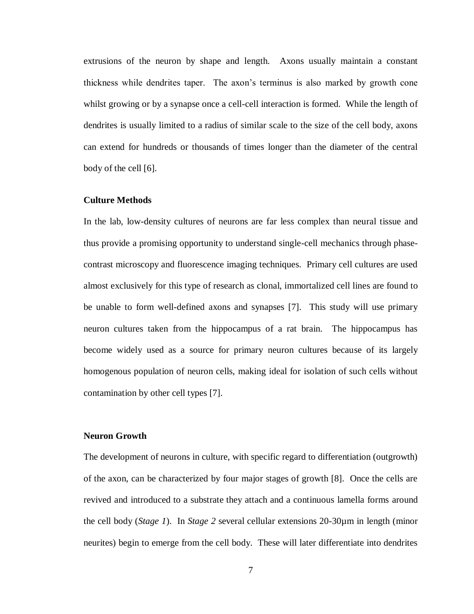extrusions of the neuron by shape and length. Axons usually maintain a constant thickness while dendrites taper. The axon's terminus is also marked by growth cone whilst growing or by a synapse once a cell-cell interaction is formed. While the length of dendrites is usually limited to a radius of similar scale to the size of the cell body, axons can extend for hundreds or thousands of times longer than the diameter of the central body of the cell [6].

## **Culture Methods**

In the lab, low-density cultures of neurons are far less complex than neural tissue and thus provide a promising opportunity to understand single-cell mechanics through phasecontrast microscopy and fluorescence imaging techniques. Primary cell cultures are used almost exclusively for this type of research as clonal, immortalized cell lines are found to be unable to form well-defined axons and synapses [7]. This study will use primary neuron cultures taken from the hippocampus of a rat brain. The hippocampus has become widely used as a source for primary neuron cultures because of its largely homogenous population of neuron cells, making ideal for isolation of such cells without contamination by other cell types [7].

## **Neuron Growth**

The development of neurons in culture, with specific regard to differentiation (outgrowth) of the axon, can be characterized by four major stages of growth [8]. Once the cells are revived and introduced to a substrate they attach and a continuous lamella forms around the cell body (*Stage 1*). In *Stage 2* several cellular extensions 20-30µm in length (minor neurites) begin to emerge from the cell body. These will later differentiate into dendrites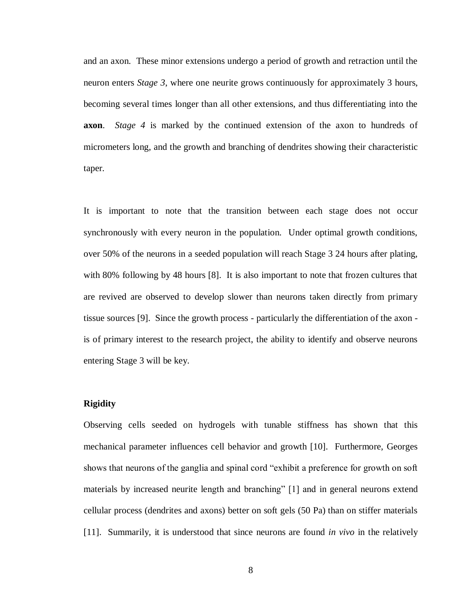and an axon. These minor extensions undergo a period of growth and retraction until the neuron enters *Stage 3*, where one neurite grows continuously for approximately 3 hours, becoming several times longer than all other extensions, and thus differentiating into the **axon**. *Stage 4* is marked by the continued extension of the axon to hundreds of micrometers long, and the growth and branching of dendrites showing their characteristic taper.

It is important to note that the transition between each stage does not occur synchronously with every neuron in the population. Under optimal growth conditions, over 50% of the neurons in a seeded population will reach Stage 3 24 hours after plating, with 80% following by 48 hours [8]. It is also important to note that frozen cultures that are revived are observed to develop slower than neurons taken directly from primary tissue sources [9]. Since the growth process - particularly the differentiation of the axon is of primary interest to the research project, the ability to identify and observe neurons entering Stage 3 will be key.

#### **Rigidity**

Observing cells seeded on hydrogels with tunable stiffness has shown that this mechanical parameter influences cell behavior and growth [10]. Furthermore, Georges shows that neurons of the ganglia and spinal cord "exhibit a preference for growth on soft materials by increased neurite length and branching" [1] and in general neurons extend cellular process (dendrites and axons) better on soft gels (50 Pa) than on stiffer materials [11]. Summarily, it is understood that since neurons are found *in vivo* in the relatively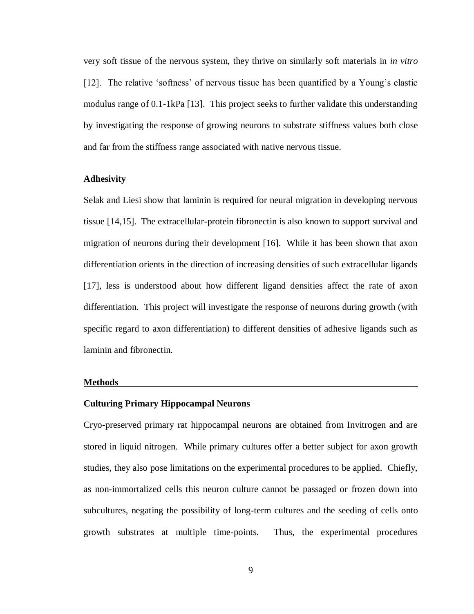very soft tissue of the nervous system, they thrive on similarly soft materials in *in vitro* [12]. The relative 'softness' of nervous tissue has been quantified by a Young's elastic modulus range of 0.1-1kPa [13]. This project seeks to further validate this understanding by investigating the response of growing neurons to substrate stiffness values both close and far from the stiffness range associated with native nervous tissue.

## **Adhesivity**

Selak and Liesi show that laminin is required for neural migration in developing nervous tissue [14,15]. The extracellular-protein fibronectin is also known to support survival and migration of neurons during their development [16]. While it has been shown that axon differentiation orients in the direction of increasing densities of such extracellular ligands [17], less is understood about how different ligand densities affect the rate of axon differentiation. This project will investigate the response of neurons during growth (with specific regard to axon differentiation) to different densities of adhesive ligands such as laminin and fibronectin.

#### **Methods**

#### **Culturing Primary Hippocampal Neurons**

Cryo-preserved primary rat hippocampal neurons are obtained from Invitrogen and are stored in liquid nitrogen. While primary cultures offer a better subject for axon growth studies, they also pose limitations on the experimental procedures to be applied. Chiefly, as non-immortalized cells this neuron culture cannot be passaged or frozen down into subcultures, negating the possibility of long-term cultures and the seeding of cells onto growth substrates at multiple time-points. Thus, the experimental procedures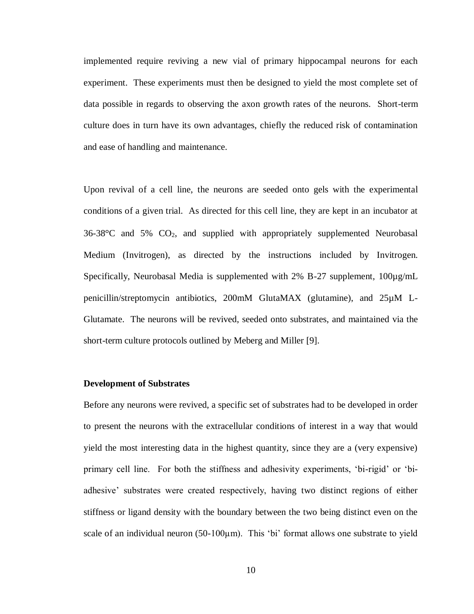implemented require reviving a new vial of primary hippocampal neurons for each experiment. These experiments must then be designed to yield the most complete set of data possible in regards to observing the axon growth rates of the neurons. Short-term culture does in turn have its own advantages, chiefly the reduced risk of contamination and ease of handling and maintenance.

Upon revival of a cell line, the neurons are seeded onto gels with the experimental conditions of a given trial. As directed for this cell line, they are kept in an incubator at  $36-38$ °C and  $5\%$  CO<sub>2</sub>, and supplied with appropriately supplemented Neurobasal Medium (Invitrogen), as directed by the instructions included by Invitrogen. Specifically, Neurobasal Media is supplemented with 2% B-27 supplement,  $100\mu g/mL$ penicillin/streptomycin antibiotics, 200mM GlutaMAX (glutamine), and 25µM L-Glutamate. The neurons will be revived, seeded onto substrates, and maintained via the short-term culture protocols outlined by Meberg and Miller [9].

#### **Development of Substrates**

Before any neurons were revived, a specific set of substrates had to be developed in order to present the neurons with the extracellular conditions of interest in a way that would yield the most interesting data in the highest quantity, since they are a (very expensive) primary cell line. For both the stiffness and adhesivity experiments, 'bi-rigid' or 'biadhesive' substrates were created respectively, having two distinct regions of either stiffness or ligand density with the boundary between the two being distinct even on the scale of an individual neuron  $(50-100\mu m)$ . This 'bi' format allows one substrate to yield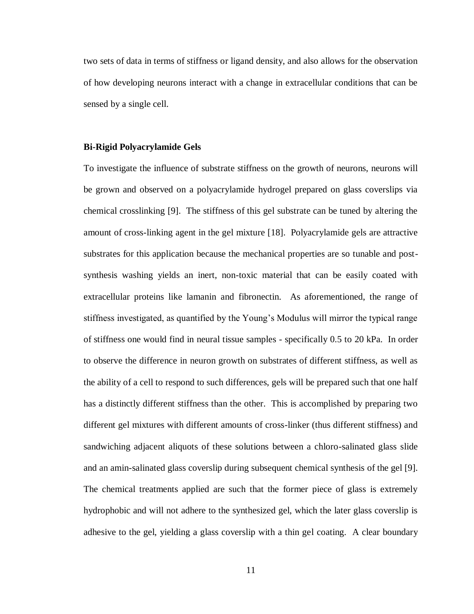two sets of data in terms of stiffness or ligand density, and also allows for the observation of how developing neurons interact with a change in extracellular conditions that can be sensed by a single cell.

#### **Bi-Rigid Polyacrylamide Gels**

To investigate the influence of substrate stiffness on the growth of neurons, neurons will be grown and observed on a polyacrylamide hydrogel prepared on glass coverslips via chemical crosslinking [9]. The stiffness of this gel substrate can be tuned by altering the amount of cross-linking agent in the gel mixture [18]. Polyacrylamide gels are attractive substrates for this application because the mechanical properties are so tunable and postsynthesis washing yields an inert, non-toxic material that can be easily coated with extracellular proteins like lamanin and fibronectin. As aforementioned, the range of stiffness investigated, as quantified by the Young's Modulus will mirror the typical range of stiffness one would find in neural tissue samples - specifically 0.5 to 20 kPa. In order to observe the difference in neuron growth on substrates of different stiffness, as well as the ability of a cell to respond to such differences, gels will be prepared such that one half has a distinctly different stiffness than the other. This is accomplished by preparing two different gel mixtures with different amounts of cross-linker (thus different stiffness) and sandwiching adjacent aliquots of these solutions between a chloro-salinated glass slide and an amin-salinated glass coverslip during subsequent chemical synthesis of the gel [9]. The chemical treatments applied are such that the former piece of glass is extremely hydrophobic and will not adhere to the synthesized gel, which the later glass coverslip is adhesive to the gel, yielding a glass coverslip with a thin gel coating. A clear boundary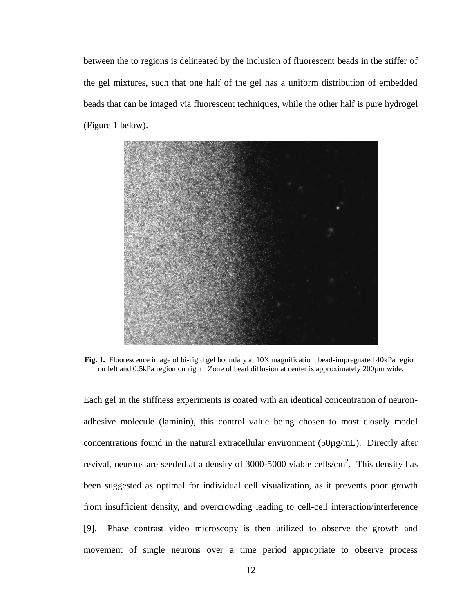between the to regions is delineated by the inclusion of fluorescent beads in the stiffer of the gel mixtures, such that one half of the gel has a uniform distribution of embedded beads that can be imaged via fluorescent techniques, while the other half is pure hydrogel (Figure 1 below).



**Fig. 1.** Fluorescence image of bi-rigid gel boundary at 10X magnification, bead-impregnated 40kPa region on left and 0.5kPa region on right. Zone of bead diffusion at center is approximately 200µm wide.

Each gel in the stiffness experiments is coated with an identical concentration of neuronadhesive molecule (laminin), this control value being chosen to most closely model concentrations found in the natural extracellular environment (50µg/mL). Directly after revival, neurons are seeded at a density of  $3000-5000$  viable cells/cm<sup>2</sup>. This density has been suggested as optimal for individual cell visualization, as it prevents poor growth from insufficient density, and overcrowding leading to cell-cell interaction/interference [9]. Phase contrast video microscopy is then utilized to observe the growth and movement of single neurons over a time period appropriate to observe process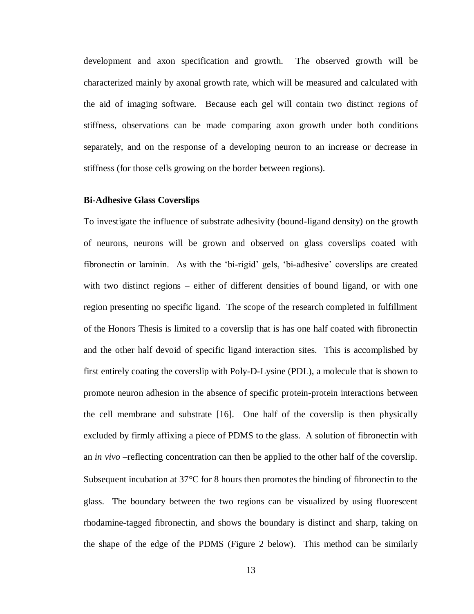development and axon specification and growth. The observed growth will be characterized mainly by axonal growth rate, which will be measured and calculated with the aid of imaging software. Because each gel will contain two distinct regions of stiffness, observations can be made comparing axon growth under both conditions separately, and on the response of a developing neuron to an increase or decrease in stiffness (for those cells growing on the border between regions).

#### **Bi-Adhesive Glass Coverslips**

To investigate the influence of substrate adhesivity (bound-ligand density) on the growth of neurons, neurons will be grown and observed on glass coverslips coated with fibronectin or laminin. As with the 'bi-rigid' gels, 'bi-adhesive' coverslips are created with two distinct regions – either of different densities of bound ligand, or with one region presenting no specific ligand. The scope of the research completed in fulfillment of the Honors Thesis is limited to a coverslip that is has one half coated with fibronectin and the other half devoid of specific ligand interaction sites. This is accomplished by first entirely coating the coverslip with Poly-D-Lysine (PDL), a molecule that is shown to promote neuron adhesion in the absence of specific protein-protein interactions between the cell membrane and substrate [16]. One half of the coverslip is then physically excluded by firmly affixing a piece of PDMS to the glass. A solution of fibronectin with an *in vivo* –reflecting concentration can then be applied to the other half of the coverslip. Subsequent incubation at  $37^{\circ}$ C for 8 hours then promotes the binding of fibronectin to the glass. The boundary between the two regions can be visualized by using fluorescent rhodamine-tagged fibronectin, and shows the boundary is distinct and sharp, taking on the shape of the edge of the PDMS (Figure 2 below). This method can be similarly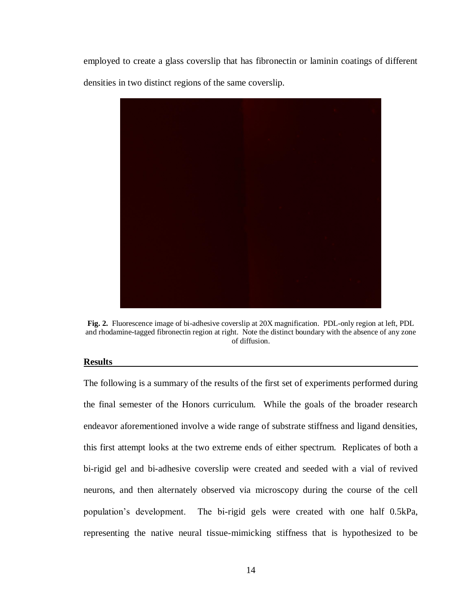employed to create a glass coverslip that has fibronectin or laminin coatings of different densities in two distinct regions of the same coverslip.



**Fig. 2.** Fluorescence image of bi-adhesive coverslip at 20X magnification. PDL-only region at left, PDL and rhodamine-tagged fibronectin region at right. Note the distinct boundary with the absence of any zone of diffusion.

#### **Results**

The following is a summary of the results of the first set of experiments performed during the final semester of the Honors curriculum. While the goals of the broader research endeavor aforementioned involve a wide range of substrate stiffness and ligand densities, this first attempt looks at the two extreme ends of either spectrum. Replicates of both a bi-rigid gel and bi-adhesive coverslip were created and seeded with a vial of revived neurons, and then alternately observed via microscopy during the course of the cell population's development. The bi-rigid gels were created with one half 0.5kPa, representing the native neural tissue-mimicking stiffness that is hypothesized to be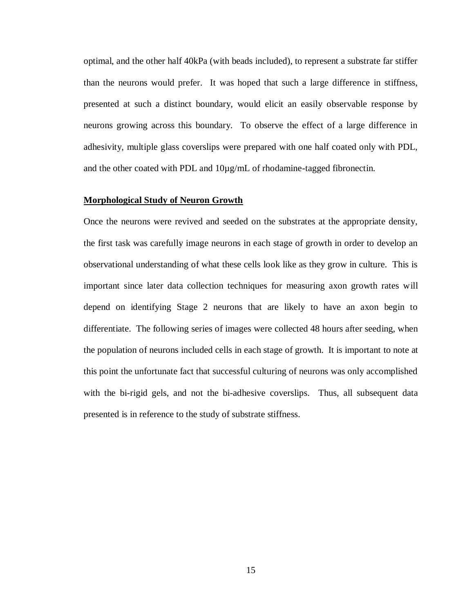optimal, and the other half 40kPa (with beads included), to represent a substrate far stiffer than the neurons would prefer. It was hoped that such a large difference in stiffness, presented at such a distinct boundary, would elicit an easily observable response by neurons growing across this boundary. To observe the effect of a large difference in adhesivity, multiple glass coverslips were prepared with one half coated only with PDL, and the other coated with PDL and 10µg/mL of rhodamine-tagged fibronectin.

#### **Morphological Study of Neuron Growth**

Once the neurons were revived and seeded on the substrates at the appropriate density, the first task was carefully image neurons in each stage of growth in order to develop an observational understanding of what these cells look like as they grow in culture. This is important since later data collection techniques for measuring axon growth rates will depend on identifying Stage 2 neurons that are likely to have an axon begin to differentiate. The following series of images were collected 48 hours after seeding, when the population of neurons included cells in each stage of growth. It is important to note at this point the unfortunate fact that successful culturing of neurons was only accomplished with the bi-rigid gels, and not the bi-adhesive coverslips. Thus, all subsequent data presented is in reference to the study of substrate stiffness.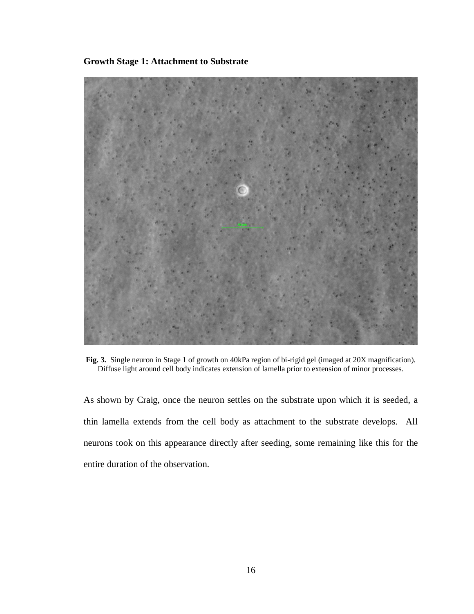**Growth Stage 1: Attachment to Substrate**



**Fig. 3.** Single neuron in Stage 1 of growth on 40kPa region of bi-rigid gel (imaged at 20X magnification). Diffuse light around cell body indicates extension of lamella prior to extension of minor processes.

As shown by Craig, once the neuron settles on the substrate upon which it is seeded, a thin lamella extends from the cell body as attachment to the substrate develops. All neurons took on this appearance directly after seeding, some remaining like this for the entire duration of the observation.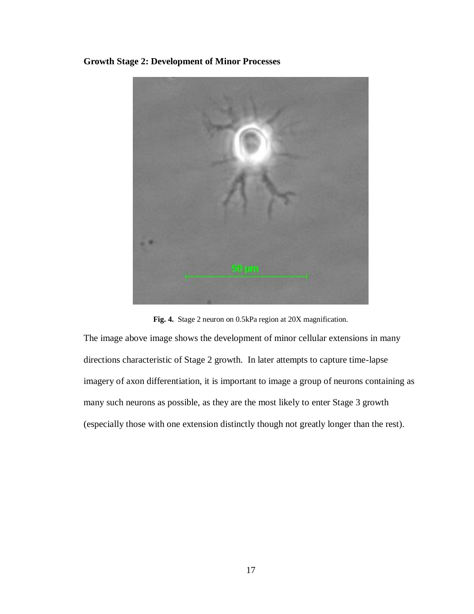**Growth Stage 2: Development of Minor Processes**



**Fig. 4.** Stage 2 neuron on 0.5kPa region at 20X magnification.

The image above image shows the development of minor cellular extensions in many directions characteristic of Stage 2 growth. In later attempts to capture time-lapse imagery of axon differentiation, it is important to image a group of neurons containing as many such neurons as possible, as they are the most likely to enter Stage 3 growth (especially those with one extension distinctly though not greatly longer than the rest).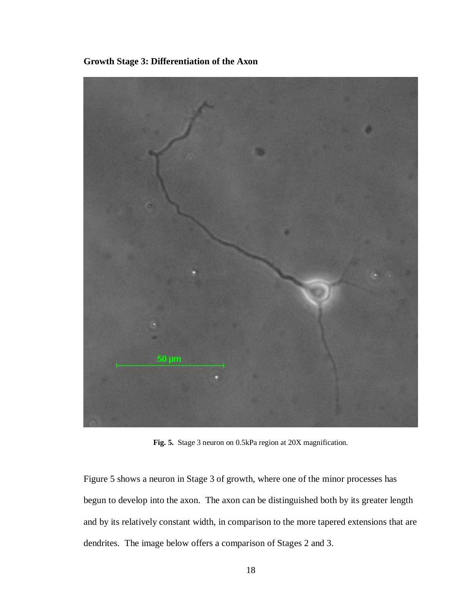

**Growth Stage 3: Differentiation of the Axon**

**Fig. 5.** Stage 3 neuron on 0.5kPa region at 20X magnification.

Figure 5 shows a neuron in Stage 3 of growth, where one of the minor processes has begun to develop into the axon. The axon can be distinguished both by its greater length and by its relatively constant width, in comparison to the more tapered extensions that are dendrites. The image below offers a comparison of Stages 2 and 3.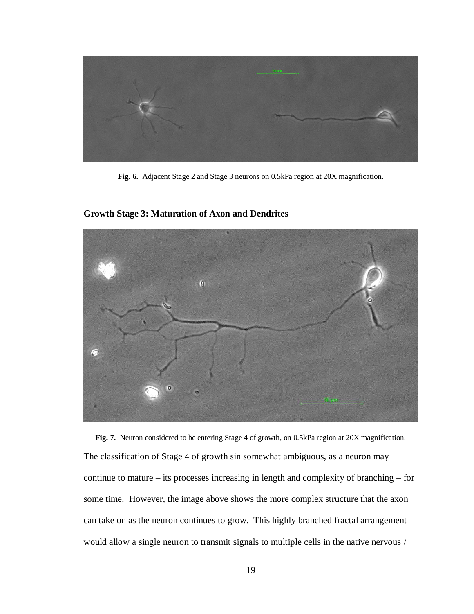

**Fig. 6.** Adjacent Stage 2 and Stage 3 neurons on 0.5kPa region at 20X magnification.



**Growth Stage 3: Maturation of Axon and Dendrites**

**Fig. 7.** Neuron considered to be entering Stage 4 of growth, on 0.5kPa region at 20X magnification. The classification of Stage 4 of growth sin somewhat ambiguous, as a neuron may continue to mature – its processes increasing in length and complexity of branching – for some time. However, the image above shows the more complex structure that the axon can take on as the neuron continues to grow. This highly branched fractal arrangement would allow a single neuron to transmit signals to multiple cells in the native nervous /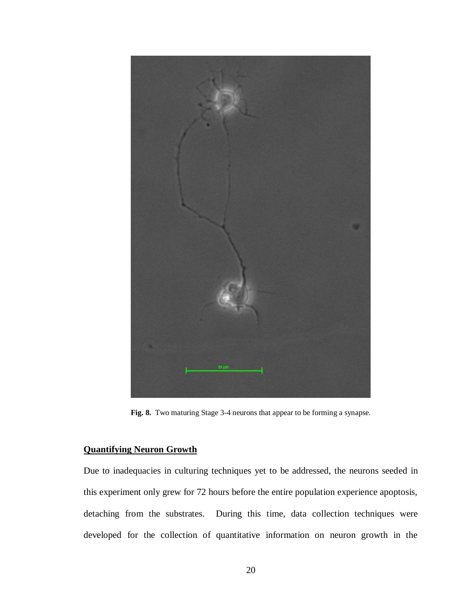

**Fig. 8.** Two maturing Stage 3-4 neurons that appear to be forming a synapse.

## **Quantifying Neuron Growth**

Due to inadequacies in culturing techniques yet to be addressed, the neurons seeded in this experiment only grew for 72 hours before the entire population experience apoptosis, detaching from the substrates. During this time, data collection techniques were developed for the collection of quantitative information on neuron growth in the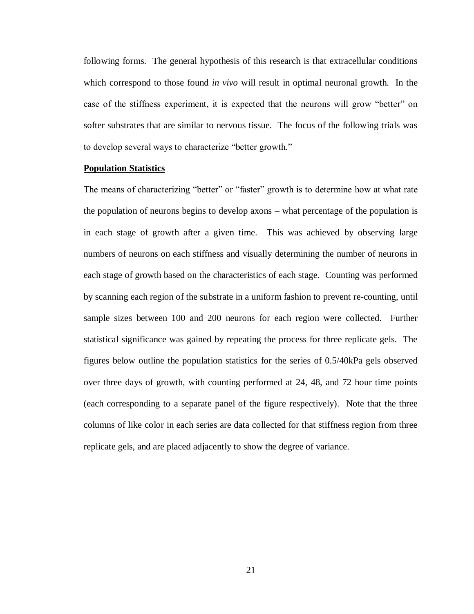following forms. The general hypothesis of this research is that extracellular conditions which correspond to those found *in vivo* will result in optimal neuronal growth. In the case of the stiffness experiment, it is expected that the neurons will grow "better" on softer substrates that are similar to nervous tissue. The focus of the following trials was to develop several ways to characterize "better growth."

#### **Population Statistics**

The means of characterizing "better" or "faster" growth is to determine how at what rate the population of neurons begins to develop axons – what percentage of the population is in each stage of growth after a given time. This was achieved by observing large numbers of neurons on each stiffness and visually determining the number of neurons in each stage of growth based on the characteristics of each stage. Counting was performed by scanning each region of the substrate in a uniform fashion to prevent re-counting, until sample sizes between 100 and 200 neurons for each region were collected. Further statistical significance was gained by repeating the process for three replicate gels. The figures below outline the population statistics for the series of 0.5/40kPa gels observed over three days of growth, with counting performed at 24, 48, and 72 hour time points (each corresponding to a separate panel of the figure respectively). Note that the three columns of like color in each series are data collected for that stiffness region from three replicate gels, and are placed adjacently to show the degree of variance.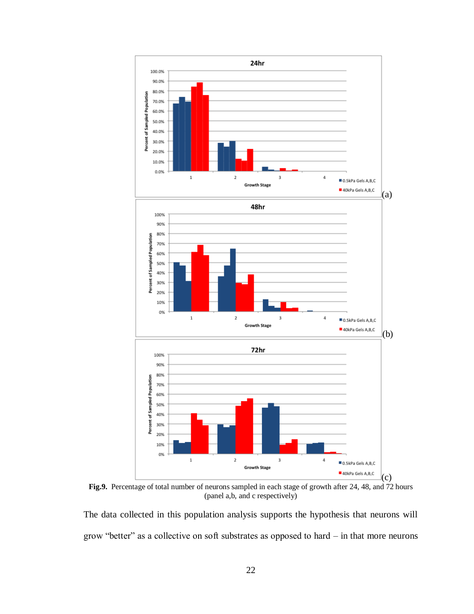

**Fig.9.** Percentage of total number of neurons sampled in each stage of growth after 24, 48, and 72 hours (panel a,b, and c respectively)

The data collected in this population analysis supports the hypothesis that neurons will grow "better" as a collective on soft substrates as opposed to hard – in that more neurons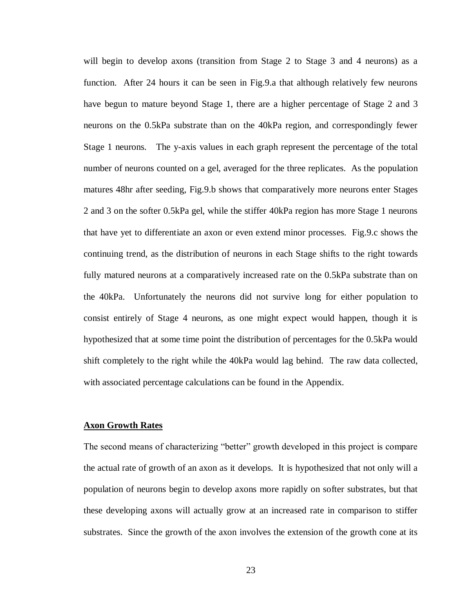will begin to develop axons (transition from Stage 2 to Stage 3 and 4 neurons) as a function. After 24 hours it can be seen in Fig.9.a that although relatively few neurons have begun to mature beyond Stage 1, there are a higher percentage of Stage 2 and 3 neurons on the 0.5kPa substrate than on the 40kPa region, and correspondingly fewer Stage 1 neurons. The y-axis values in each graph represent the percentage of the total number of neurons counted on a gel, averaged for the three replicates. As the population matures 48hr after seeding, Fig.9.b shows that comparatively more neurons enter Stages 2 and 3 on the softer 0.5kPa gel, while the stiffer 40kPa region has more Stage 1 neurons that have yet to differentiate an axon or even extend minor processes. Fig.9.c shows the continuing trend, as the distribution of neurons in each Stage shifts to the right towards fully matured neurons at a comparatively increased rate on the 0.5kPa substrate than on the 40kPa. Unfortunately the neurons did not survive long for either population to consist entirely of Stage 4 neurons, as one might expect would happen, though it is hypothesized that at some time point the distribution of percentages for the 0.5kPa would shift completely to the right while the 40kPa would lag behind. The raw data collected, with associated percentage calculations can be found in the Appendix.

#### **Axon Growth Rates**

The second means of characterizing "better" growth developed in this project is compare the actual rate of growth of an axon as it develops. It is hypothesized that not only will a population of neurons begin to develop axons more rapidly on softer substrates, but that these developing axons will actually grow at an increased rate in comparison to stiffer substrates. Since the growth of the axon involves the extension of the growth cone at its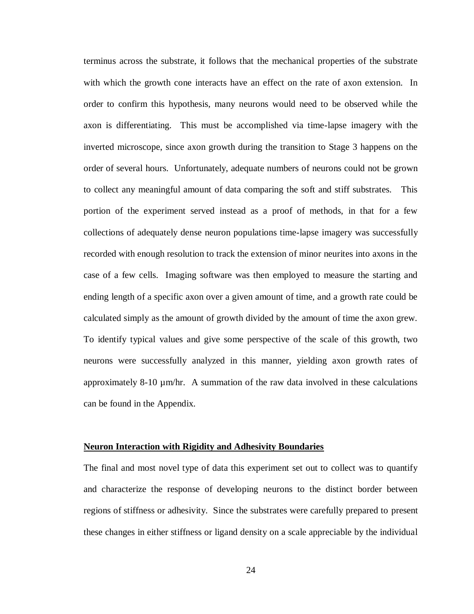terminus across the substrate, it follows that the mechanical properties of the substrate with which the growth cone interacts have an effect on the rate of axon extension. In order to confirm this hypothesis, many neurons would need to be observed while the axon is differentiating. This must be accomplished via time-lapse imagery with the inverted microscope, since axon growth during the transition to Stage 3 happens on the order of several hours. Unfortunately, adequate numbers of neurons could not be grown to collect any meaningful amount of data comparing the soft and stiff substrates. This portion of the experiment served instead as a proof of methods, in that for a few collections of adequately dense neuron populations time-lapse imagery was successfully recorded with enough resolution to track the extension of minor neurites into axons in the case of a few cells. Imaging software was then employed to measure the starting and ending length of a specific axon over a given amount of time, and a growth rate could be calculated simply as the amount of growth divided by the amount of time the axon grew. To identify typical values and give some perspective of the scale of this growth, two neurons were successfully analyzed in this manner, yielding axon growth rates of approximately 8-10 µm/hr. A summation of the raw data involved in these calculations can be found in the Appendix.

#### **Neuron Interaction with Rigidity and Adhesivity Boundaries**

The final and most novel type of data this experiment set out to collect was to quantify and characterize the response of developing neurons to the distinct border between regions of stiffness or adhesivity. Since the substrates were carefully prepared to present these changes in either stiffness or ligand density on a scale appreciable by the individual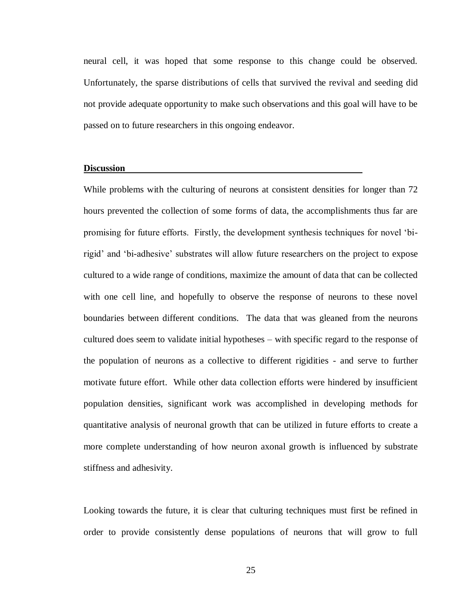neural cell, it was hoped that some response to this change could be observed. Unfortunately, the sparse distributions of cells that survived the revival and seeding did not provide adequate opportunity to make such observations and this goal will have to be passed on to future researchers in this ongoing endeavor.

#### **Discussion**

While problems with the culturing of neurons at consistent densities for longer than 72 hours prevented the collection of some forms of data, the accomplishments thus far are promising for future efforts. Firstly, the development synthesis techniques for novel 'birigid' and 'bi-adhesive' substrates will allow future researchers on the project to expose cultured to a wide range of conditions, maximize the amount of data that can be collected with one cell line, and hopefully to observe the response of neurons to these novel boundaries between different conditions. The data that was gleaned from the neurons cultured does seem to validate initial hypotheses – with specific regard to the response of the population of neurons as a collective to different rigidities - and serve to further motivate future effort. While other data collection efforts were hindered by insufficient population densities, significant work was accomplished in developing methods for quantitative analysis of neuronal growth that can be utilized in future efforts to create a more complete understanding of how neuron axonal growth is influenced by substrate stiffness and adhesivity.

Looking towards the future, it is clear that culturing techniques must first be refined in order to provide consistently dense populations of neurons that will grow to full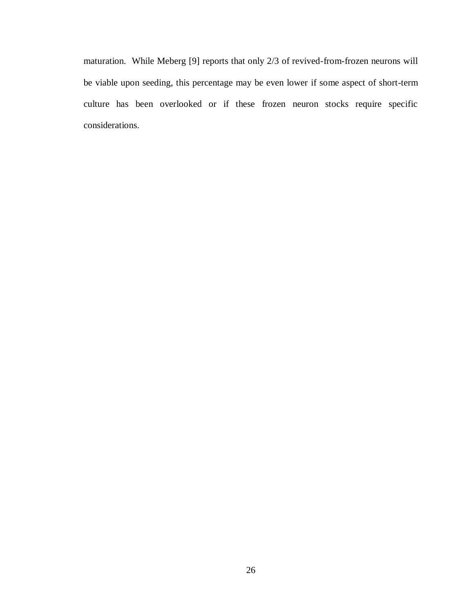maturation. While Meberg [9] reports that only 2/3 of revived-from-frozen neurons will be viable upon seeding, this percentage may be even lower if some aspect of short-term culture has been overlooked or if these frozen neuron stocks require specific considerations.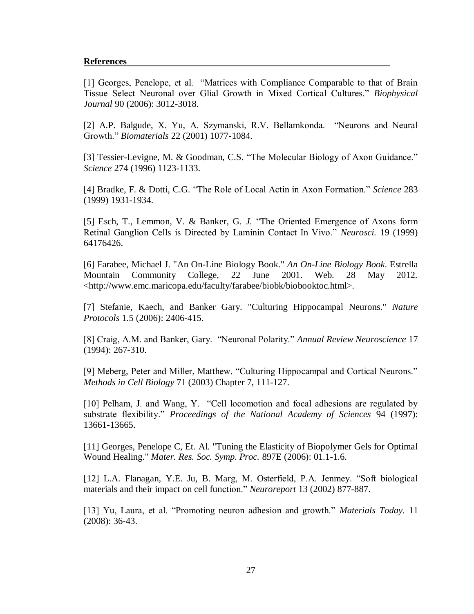## **References**

[1] Georges, Penelope, et al. "Matrices with Compliance Comparable to that of Brain Tissue Select Neuronal over Glial Growth in Mixed Cortical Cultures." *Biophysical Journal* 90 (2006): 3012-3018.

[2] A.P. Balgude, X. Yu, A. Szymanski, R.V. Bellamkonda. "Neurons and Neural Growth." *Biomaterials* 22 (2001) 1077-1084.

[3] Tessier-Levigne, M. & Goodman, C.S. "The Molecular Biology of Axon Guidance." *Science* 274 (1996) 1123-1133.

[4] Bradke, F. & Dotti, C.G. "The Role of Local Actin in Axon Formation." *Science* 283 (1999) 1931-1934.

[5] Esch, T., Lemmon, V. & Banker, G. *J.* "The Oriented Emergence of Axons form Retinal Ganglion Cells is Directed by Laminin Contact In Vivo." *Neurosci.* 19 (1999) 64176426.

[6] Farabee, Michael J. "An On-Line Biology Book." *An On-Line Biology Book*. Estrella Mountain Community College, 22 June 2001. Web. 28 May 2012. <http://www.emc.maricopa.edu/faculty/farabee/biobk/biobooktoc.html>.

[7] Stefanie, Kaech, and Banker Gary. "Culturing Hippocampal Neurons." *Nature Protocols* 1.5 (2006): 2406-415.

[8] Craig, A.M. and Banker, Gary. "Neuronal Polarity." *Annual Review Neuroscience* 17 (1994): 267-310.

[9] Meberg, Peter and Miller, Matthew. "Culturing Hippocampal and Cortical Neurons." *Methods in Cell Biology* 71 (2003) Chapter 7, 111-127.

[10] Pelham, J. and Wang, Y. "Cell locomotion and focal adhesions are regulated by substrate flexibility." *Proceedings of the National Academy of Sciences* 94 (1997): 13661-13665.

[11] Georges, Penelope C, Et. Al. "Tuning the Elasticity of Biopolymer Gels for Optimal Wound Healing." *Mater. Res. Soc. Symp. Proc.* 897E (2006): 01.1-1.6.

[12] L.A. Flanagan, Y.E. Ju, B. Marg, M. Osterfield, P.A. Jenmey. "Soft biological materials and their impact on cell function." *Neuroreport* 13 (2002) 877-887.

[13] Yu, Laura, et al. "Promoting neuron adhesion and growth." *Materials Today.* 11 (2008): 36-43.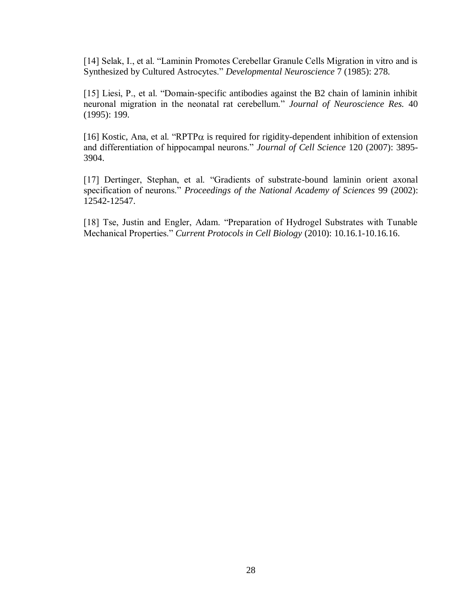[14] Selak, I., et al. "Laminin Promotes Cerebellar Granule Cells Migration in vitro and is Synthesized by Cultured Astrocytes." *Developmental Neuroscience* 7 (1985): 278.

[15] Liesi, P., et al. "Domain-specific antibodies against the B2 chain of laminin inhibit neuronal migration in the neonatal rat cerebellum." *Journal of Neuroscience Res.* 40 (1995): 199.

[16] Kostic, Ana, et al. "RPTP $\alpha$  is required for rigidity-dependent inhibition of extension and differentiation of hippocampal neurons." *Journal of Cell Science* 120 (2007): 3895- 3904.

[17] Dertinger, Stephan, et al. "Gradients of substrate-bound laminin orient axonal specification of neurons." *Proceedings of the National Academy of Sciences* 99 (2002): 12542-12547.

[18] Tse, Justin and Engler, Adam. "Preparation of Hydrogel Substrates with Tunable Mechanical Properties." *Current Protocols in Cell Biology* (2010): 10.16.1-10.16.16.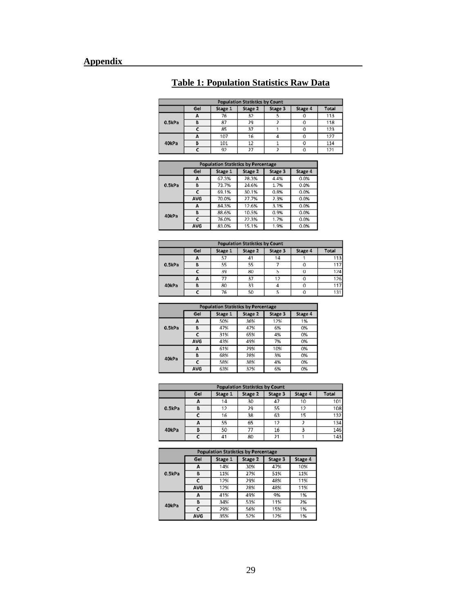|  |  | <b>Table 1: Population Statistics Raw Data</b> |  |
|--|--|------------------------------------------------|--|
|  |  |                                                |  |

| <b>Population Statistics by Count</b> |     |         |         |         |         |       |
|---------------------------------------|-----|---------|---------|---------|---------|-------|
|                                       | Gel | Stage 1 | Stage 2 | Stage 3 | Stage 4 | Total |
|                                       | А   | 76      | 32      |         | 0       | 113   |
| 0.5kPa                                | в   | 87      | 29      |         | ο       | 118   |
|                                       |     | 85      | 37      |         | 0       | 123   |
|                                       | А   | 107     | 16      |         | 0       | 127   |
| 40kPa                                 |     | 101     | 12      |         | O       | 114   |
|                                       |     | 92      | 27      |         | 0       | 121   |

| <b>Population Statistics by Percentage</b> |     |         |         |         |         |  |
|--------------------------------------------|-----|---------|---------|---------|---------|--|
|                                            | Gel | Stage 1 | Stage 2 | Stage 3 | Stage 4 |  |
|                                            | д   | 67.3%   | 28.3%   | 4.4%    | 0.0%    |  |
| 0.5kPa                                     | B   | 73.7%   | 24.6%   | 1.7%    | 0.0%    |  |
|                                            | r   | 69.1%   | 30.1%   | 0.8%    | 0.0%    |  |
|                                            | AVG | 70.0%   | 27.7%   | 2.3%    | 0.0%    |  |
|                                            | А   | 84.3%   | 12.6%   | 3.1%    | 0.0%    |  |
| 40kPa                                      | B   | 88.6%   | 10.5%   | 0.9%    | 0.0%    |  |
|                                            | c   | 76.0%   | 22.3%   | 1.7%    | 0.0%    |  |
|                                            | AVG | 83.0%   | 15.1%   | 1.9%    | 0.0%    |  |

| <b>Population Statistics by Count</b> |     |         |         |         |         |       |  |
|---------------------------------------|-----|---------|---------|---------|---------|-------|--|
|                                       | Gel | Stage 1 | Stage 2 | Stage 3 | Stage 4 | Total |  |
|                                       |     | 57      | 41      | 14      |         | 113   |  |
| 0.5kPa                                |     | 55      | 55      |         |         | 117   |  |
|                                       |     | 39      | 80      | b.      | α       | 124   |  |
|                                       |     | 77      | 37      | 12      | 0       | 126   |  |
| 40kPa                                 |     | 80      | 33      |         |         | 117   |  |
|                                       |     | 76      | 50      |         | 0       | 131   |  |

| <b>Population Statistics by Percentage</b> |     |         |         |         |         |  |
|--------------------------------------------|-----|---------|---------|---------|---------|--|
|                                            | Gel | Stage 1 | Stage 2 | Stage 3 | Stage 4 |  |
|                                            | А   | 50%     | 36%     | 12%     | 1%      |  |
| 0.5kPa                                     | в   | 47%     | 47%     | 6%      | 0%      |  |
|                                            |     | 31%     | 65%     | 4%      | 0%      |  |
|                                            | AVG | 43%     | 49%     | 7%      | 0%      |  |
|                                            | А   | 61%     | 29%     | 10%     | 0%      |  |
| 40kPa                                      | B   | 68%     | 28%     | 3%      | 0%      |  |
|                                            |     | 58%     | 38%     | 4%      | 0%      |  |
|                                            | AVG | 63%     | 32%     | 6%      | 0%      |  |

| <b>Population Statistics by Count</b> |     |         |         |         |         |       |  |
|---------------------------------------|-----|---------|---------|---------|---------|-------|--|
|                                       | Gel | Stage 1 | Stage 2 | Stage 3 | Stage 4 | Total |  |
|                                       |     | 14      | 30      | 47      | 10      | 101   |  |
| 0.5kPa                                | в   | 12      | 29      | 55      | 12      | 108   |  |
|                                       |     | 16      | 38      | 63      | 15      | 132   |  |
|                                       | А   | 55      | 65      | 12      |         | 134   |  |
| 40kPa                                 | в   | 50      | 77      | 16      |         | 146   |  |
|                                       |     | 41      | 80      | 21      |         | 143   |  |

| <b>Population Statistics by Percentage</b> |     |                                          |     |     |     |  |  |  |
|--------------------------------------------|-----|------------------------------------------|-----|-----|-----|--|--|--|
|                                            | Gel | Stage 2<br>Stage 1<br>Stage 3<br>Stage 4 |     |     |     |  |  |  |
|                                            | д   | 14%                                      | 30% | 47% | 10% |  |  |  |
| 0.5kPa                                     | в   | 11%                                      | 27% | 51% | 11% |  |  |  |
|                                            |     | 12%                                      | 29% | 48% | 11% |  |  |  |
|                                            | AVG | 12%                                      | 28% | 48% | 11% |  |  |  |
|                                            | A   | 41%                                      | 49% | 9%  | 1%  |  |  |  |
| 40kPa                                      | в   | 34%                                      | 53% | 11% | 2%  |  |  |  |
|                                            |     | 29%                                      | 56% | 15% | 1%  |  |  |  |
|                                            | AVG | 35%                                      | 52% | 12% | 1%  |  |  |  |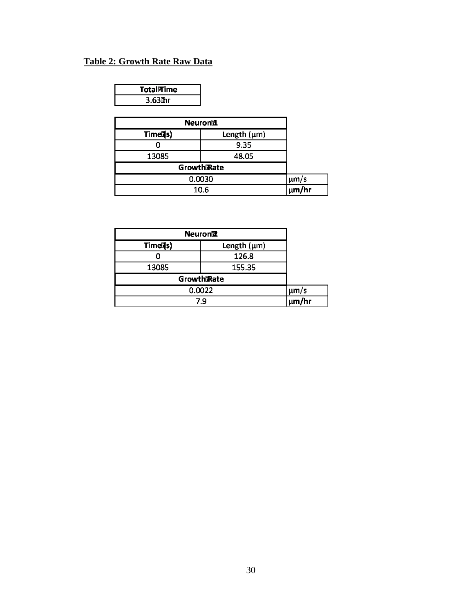## **Table 2: Growth Rate Raw Data**

| TotaliTime |  |
|------------|--|
| $3.63$ thr |  |

| <b>Neuronill</b>     |                      |  |
|----------------------|----------------------|--|
| Timed <sub>s</sub> ) | Length $(\mu m)$     |  |
|                      | 9.35                 |  |
| 13085                | 48.05                |  |
| GrowthRate           |                      |  |
| 0.0030               | $\mu$ m/s            |  |
| 10.6                 | $\frac{1}{\mu m/hr}$ |  |

| <b>Neuroniz</b>      |                         |  |
|----------------------|-------------------------|--|
| Timed <sub>s</sub> ) | Length $(\mu m)$        |  |
|                      | 126.8                   |  |
| 13085                | 155.35                  |  |
| GrowthRate           |                         |  |
| 0.0022               | µm/s<br> µ <b>m/</b> hr |  |
| 7.9                  |                         |  |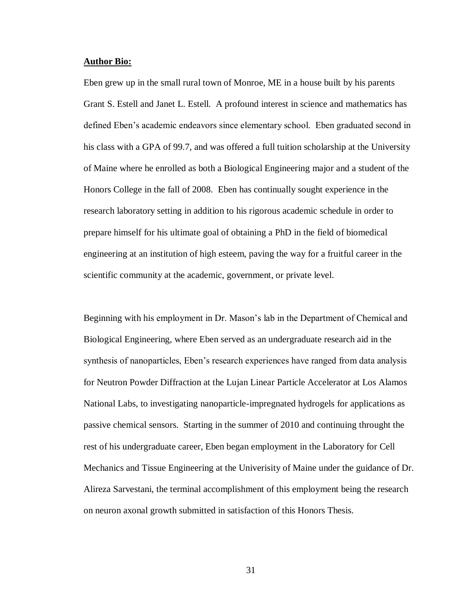#### **Author Bio:**

Eben grew up in the small rural town of Monroe, ME in a house built by his parents Grant S. Estell and Janet L. Estell. A profound interest in science and mathematics has defined Eben's academic endeavors since elementary school. Eben graduated second in his class with a GPA of 99.7, and was offered a full tuition scholarship at the University of Maine where he enrolled as both a Biological Engineering major and a student of the Honors College in the fall of 2008. Eben has continually sought experience in the research laboratory setting in addition to his rigorous academic schedule in order to prepare himself for his ultimate goal of obtaining a PhD in the field of biomedical engineering at an institution of high esteem, paving the way for a fruitful career in the scientific community at the academic, government, or private level.

Beginning with his employment in Dr. Mason's lab in the Department of Chemical and Biological Engineering, where Eben served as an undergraduate research aid in the synthesis of nanoparticles, Eben's research experiences have ranged from data analysis for Neutron Powder Diffraction at the Lujan Linear Particle Accelerator at Los Alamos National Labs, to investigating nanoparticle-impregnated hydrogels for applications as passive chemical sensors. Starting in the summer of 2010 and continuing throught the rest of his undergraduate career, Eben began employment in the Laboratory for Cell Mechanics and Tissue Engineering at the Univerisity of Maine under the guidance of Dr. Alireza Sarvestani, the terminal accomplishment of this employment being the research on neuron axonal growth submitted in satisfaction of this Honors Thesis.

31